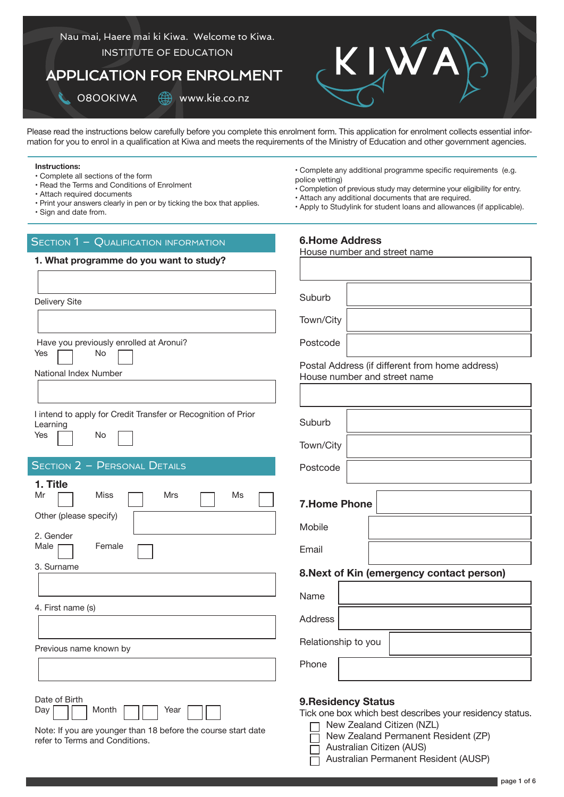

Please read the instructions below carefully before you complete this enrolment form. This application for enrolment collects essential information for you to enrol in a qualification at Kiwa and meets the requirements of the Ministry of Education and other government agencies.

### **Instructions:**

- Complete all sections of the form • Read the Terms and Conditions of Enrolment
- Attach required documents
- 
- Print your answers clearly in pen or by ticking the box that applies.
- Sign and date from.

### SECTION 1 - QUALIFICATION INFORMATION

### **1. What programme do you want to study?**

| Delivery Site                            |                                                                     |
|------------------------------------------|---------------------------------------------------------------------|
| Yes                                      | Have you previously enrolled at Aronui?<br>No                       |
| National Index Number                    |                                                                     |
| Learning<br>Yes                          | I intend to apply for Credit Transfer or Recognition of Prior<br>No |
|                                          | <b>SECTION 2 - PERSONAL DETAILS</b>                                 |
| 1. Title<br>Mr<br>Other (please specify) | <b>Miss</b><br><b>Mrs</b><br>Ms                                     |
| 2. Gender<br>Male<br>3. Surname          | Female                                                              |
|                                          |                                                                     |
| 4. First name (s)                        |                                                                     |
|                                          |                                                                     |
| Previous name known by                   |                                                                     |
|                                          |                                                                     |
| Date of Birth                            |                                                                     |

- Complete any additional programme specific requirements (e.g. police vetting)
- Completion of previous study may determine your eligibility for entry.
- Attach any additional documents that are required.

**6.Home Address**

• Apply to Studylink for student loans and allowances (if applicable).

# House number and street name Suburb own/City Postcode Postal Address (if different from home address) House number and street name

|                     |   | House number and street name              |  |
|---------------------|---|-------------------------------------------|--|
|                     |   |                                           |  |
| Suburb              |   |                                           |  |
| Town/City           |   |                                           |  |
| Postcode            |   |                                           |  |
| <b>7.Home Phone</b> |   |                                           |  |
| Mobile              |   |                                           |  |
| Email               |   |                                           |  |
|                     |   | 8. Next of Kin (emergency contact person) |  |
| Name                |   |                                           |  |
| <b>Address</b>      |   |                                           |  |
| Relationship to you |   |                                           |  |
|                     | ┍ |                                           |  |

Phone

### **9.Residency Status**

Tick one box which best describes your residency status.

- New Zealand Citizen (NZL)
- New Zealand Permanent Resident (ZP)  $\Box$
- Australian Citizen (AUS)  $\Box$
- Australian Permanent Resident (AUSP)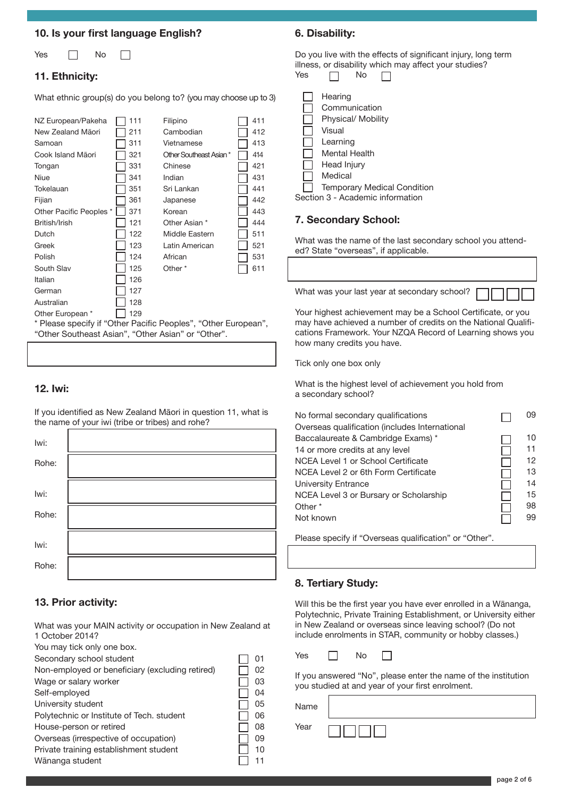### **10. Is your first language English?**

П

Yes **No** 

### **11. Ethnicity:**

What ethnic group(s) do you belong to? (you may choose up to 3)

| NZ European/Pakeha                                             | 111 | Filipino               | 411 |
|----------------------------------------------------------------|-----|------------------------|-----|
| New Zealand Māori                                              | 211 | Cambodian              | 412 |
| Samoan                                                         | 311 | Vietnamese             | 413 |
| Cook Island Māori                                              | 321 | Other Southeast Asian* | 414 |
| Tongan                                                         | 331 | Chinese                | 421 |
| Niue                                                           | 341 | Indian                 | 431 |
| Tokelauan                                                      | 351 | Sri Lankan             | 441 |
| Fijian                                                         | 361 | Japanese               | 442 |
| Other Pacific Peoples *                                        | 371 | Korean                 | 443 |
| British/Irish                                                  | 121 | Other Asian *          | 444 |
| Dutch                                                          | 122 | Middle Eastern         | 511 |
| Greek                                                          | 123 | Latin American         | 521 |
| Polish                                                         | 124 | African                | 531 |
| South Slav                                                     | 125 | Other <sup>*</sup>     | 611 |
| Italian                                                        | 126 |                        |     |
| German                                                         | 127 |                        |     |
| Australian                                                     | 128 |                        |     |
| Other European *                                               | 129 |                        |     |
| * Please specify if "Other Pacific Peoples", "Other European", |     |                        |     |
| "Other Southeast Asian", "Other Asian" or "Other".             |     |                        |     |
|                                                                |     |                        |     |

### **12. Iwi:**

If you identified as New Zealand Māori in question 11, what is the name of your iwi (tribe or tribes) and rohe?

| lwi:  |  |
|-------|--|
| Rohe: |  |
| Iwi:  |  |
| Rohe: |  |
| lwi:  |  |
| Rohe: |  |

### **13. Prior activity:**

What was your MAIN activity or occupation in New Zealand at 1 October 2014?

|  |  | You may tick only one box. |  |  |  |  |
|--|--|----------------------------|--|--|--|--|
|--|--|----------------------------|--|--|--|--|

| Secondary school student                        | 01 |
|-------------------------------------------------|----|
| Non-employed or beneficiary (excluding retired) | 02 |
| Wage or salary worker                           | 03 |
| Self-employed                                   | 04 |
| University student                              | 05 |
| Polytechnic or Institute of Tech. student       | 06 |
| House-person or retired                         | 08 |
| Overseas (irrespective of occupation)           | 09 |
| Private training establishment student          | 10 |
| Wānanga student                                 |    |

### **6. Disability:**

Do you live with the effects of significant injury, long term illness, or disability which may affect your studies? Yes

| 165 | IVO                                                                                                                                                                                       |
|-----|-------------------------------------------------------------------------------------------------------------------------------------------------------------------------------------------|
|     | Hearing<br>Communication<br>Physical/ Mobility<br>Visual<br>Learning<br>Mental Health<br>Head Injury<br>Medical<br><b>Temporary Medical Condition</b><br>Section 3 - Academic information |
|     |                                                                                                                                                                                           |

### **7. Secondary School:**

What was the name of the last secondary school you attended? State "overseas", if applicable.

What was your last year at secondary school?

Your highest achievement may be a School Certificate, or you may have achieved a number of credits on the National Qualifications Framework. Your NZQA Record of Learning shows you how many credits you have.

Tick only one box only

What is the highest level of achievement you hold from a secondary school?

| No formal secondary qualifications             | 09 |
|------------------------------------------------|----|
| Overseas qualification (includes International |    |
| Baccalaureate & Cambridge Exams) *             | 10 |
| 14 or more credits at any level                | 11 |
| NCEA Level 1 or School Certificate             | 12 |
| NCEA Level 2 or 6th Form Certificate           | 13 |
| University Entrance                            | 14 |
| NCEA Level 3 or Bursary or Scholarship         | 15 |
| Other <sup>*</sup>                             | 98 |
| Not known                                      | 99 |
|                                                |    |

Please specify if "Overseas qualification" or "Other".

### **8. Tertiary Study:**

Will this be the first year you have ever enrolled in a Wānanga, Polytechnic, Private Training Establishment, or University either in New Zealand or overseas since leaving school? (Do not include enrolments in STAR, community or hobby classes.)

If you answered "No", please enter the name of the institution you studied at and year of your first enrolment.

Name

Year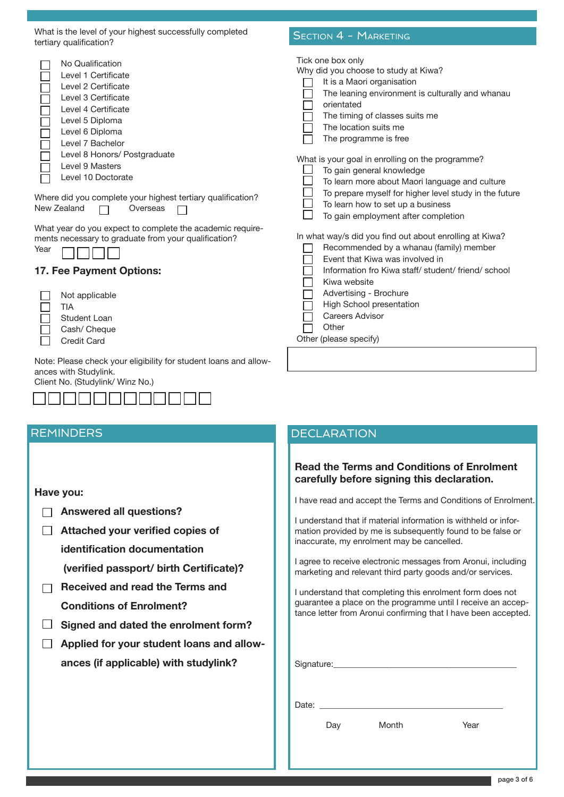| What is the level of your highest successfully completed<br>tertiary qualification?                                                                                                                                                                                                                                                       | <b>SECTION 4 - MARKETING</b>                                                                                                                                                                                                                                                                                                                                                                                                                                                                                           |
|-------------------------------------------------------------------------------------------------------------------------------------------------------------------------------------------------------------------------------------------------------------------------------------------------------------------------------------------|------------------------------------------------------------------------------------------------------------------------------------------------------------------------------------------------------------------------------------------------------------------------------------------------------------------------------------------------------------------------------------------------------------------------------------------------------------------------------------------------------------------------|
| No Qualification<br>Level 1 Certificate<br>Level 2 Certificate<br>Level 3 Certificate<br>Level 4 Certificate<br>Level 5 Diploma<br>Level 6 Diploma<br>Level 7 Bachelor<br>Level 8 Honors/ Postgraduate<br>Level 9 Masters<br>Level 10 Doctorate<br>Where did you complete your highest tertiary qualification?<br>New Zealand<br>Overseas | Tick one box only<br>Why did you choose to study at Kiwa?<br>It is a Maori organisation<br>The leaning environment is culturally and whanau<br>orientated<br>The timing of classes suits me<br>The location suits me<br>The programme is free<br>What is your goal in enrolling on the programme?<br>To gain general knowledge<br>To learn more about Maori language and culture<br>To prepare myself for higher level study in the future<br>To learn how to set up a business<br>To gain employment after completion |
| What year do you expect to complete the academic require-<br>ments necessary to graduate from your qualification?<br>Year<br>17. Fee Payment Options:<br>Not applicable<br><b>TIA</b><br><b>Student Loan</b><br>Cash/ Cheque<br><b>Credit Card</b>                                                                                        | In what way/s did you find out about enrolling at Kiwa?<br>Recommended by a whanau (family) member<br>Event that Kiwa was involved in<br>Information fro Kiwa staff/ student/ friend/ school<br>Kiwa website<br>Advertising - Brochure<br>High School presentation<br><b>Careers Advisor</b><br>Other<br>Other (please specify)                                                                                                                                                                                        |
| Note: Please check your eligibility for student loans and allow-<br>ances with Studylink.<br>Client No. (Studylink/ Winz No.)                                                                                                                                                                                                             |                                                                                                                                                                                                                                                                                                                                                                                                                                                                                                                        |

**Have you:**

**Answered all questions?**

888888888888

- **Attached your verified copies of identification documentation (verified passport/ birth Certificate)?**
- **Received and read the Terms and Conditions of Enrolment?**
- **Signed and dated the enrolment form?**
- **Applied for your student loans and allowances (if applicable) with studylink?**

### REMINDERS **DECLARATION**

### **Read the Terms and Conditions of Enrolment carefully before signing this declaration.**

I have read and accept the Terms and Conditions of Enrolment.

I understand that if material information is withheld or information provided by me is subsequently found to be false or inaccurate, my enrolment may be cancelled.

I agree to receive electronic messages from Aronui, including marketing and relevant third party goods and/or services.

I understand that completing this enrolment form does not guarantee a place on the programme until I receive an acceptance letter from Aronui confirming that I have been accepted.

Signature:

Date: \_\_\_\_\_\_\_\_\_\_\_\_\_\_\_\_\_\_\_\_\_\_\_\_\_\_\_\_\_\_\_\_\_\_\_\_\_\_\_\_\_\_\_

Day Month Year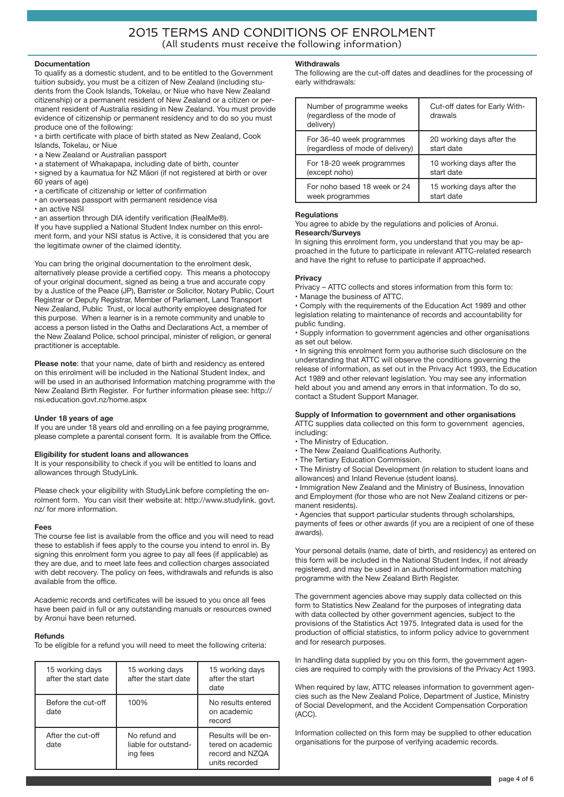### **Documentation**

To qualify as a domestic student, and to be entitled to the Government tuition subsidy, you must be a citizen of New Zealand (including students from the Cook Islands, Tokelau, or Niue who have New Zealand citizenship) or a permanent resident of New Zealand or a citizen or permanent resident of Australia residing in New Zealand. You must provide evidence of citizenship or permanent residency and to do so you must produce one of the following:

• a birth certificate with place of birth stated as New Zealand, Cook Islands, Tokelau, or Niue

- a New Zealand or Australian passport
- a statement of Whakapapa, including date of birth, counter

• signed by a kaumatua for NZ Māori (if not registered at birth or over 60 years of age)

- a certificate of citizenship or letter of confirmation
- an overseas passport with permanent residence visa
- an active NSI
- an assertion through DIA identify verification (RealMe®).

If you have supplied a National Student Index number on this enrolment form, and your NSI status is Active, it is considered that you are the legitimate owner of the claimed identity.

You can bring the original documentation to the enrolment desk, alternatively please provide a certified copy. This means a photocopy of your original document, signed as being a true and accurate copy by a Justice of the Peace (JP), Barrister or Solicitor, Notary Public, Court Registrar or Deputy Registrar, Member of Parliament, Land Transport New Zealand, Public Trust, or local authority employee designated for this purpose. When a learner is in a remote community and unable to access a person listed in the Oaths and Declarations Act, a member of the New Zealand Police, school principal, minister of religion, or general practitioner is acceptable.

**Please note**: that your name, date of birth and residency as entered on this enrolment will be included in the National Student Index, and will be used in an authorised Information matching programme with the New Zealand Birth Register. For further information please see: http:// nsi.education.govt.nz/home.aspx

### **Under 18 years of age**

If you are under 18 years old and enrolling on a fee paying programme, please complete a parental consent form. It is available from the Office.

### **Eligibility for student loans and allowances**

It is your responsibility to check if you will be entitled to loans and allowances through StudyLink.

Please check your eligibility with StudyLink before completing the enrolment form. You can visit their website at: http://www.studylink. govt. nz/ for more information.

### **Fees**

The course fee list is available from the office and you will need to read these to establish if fees apply to the course you intend to enrol in. By signing this enrolment form you agree to pay all fees (if applicable) as they are due, and to meet late fees and collection charges associated with debt recovery. The policy on fees, withdrawals and refunds is also available from the office.

Academic records and certificates will be issued to you once all fees have been paid in full or any outstanding manuals or resources owned by Aronui have been returned.

### **Refunds**

To be eligible for a refund you will need to meet the following criteria:

| 15 working days<br>after the start date | 15 working days<br>after the start date           | 15 working days<br>after the start<br>date                                    |
|-----------------------------------------|---------------------------------------------------|-------------------------------------------------------------------------------|
| Before the cut-off<br>date              | 100%                                              | No results entered<br>on academic<br>record                                   |
| After the cut-off<br>date               | No refund and<br>liable for outstand-<br>ing fees | Results will be en-<br>tered on academic<br>record and NZQA<br>units recorded |

### **Withdrawals**

The following are the cut-off dates and deadlines for the processing of early withdrawals:

| Number of programme weeks<br>(regardless of the mode of<br>delivery) | Cut-off dates for Early With-<br>drawals |
|----------------------------------------------------------------------|------------------------------------------|
| For 36-40 week programmes                                            | 20 working days after the                |
| (regardless of mode of delivery)                                     | start date                               |
| For 18-20 week programmes                                            | 10 working days after the                |
| (except noho)                                                        | start date                               |
| For noho based 18 week or 24                                         | 15 working days after the                |
| week programmes                                                      | start date                               |

### **Regulations**

You agree to abide by the regulations and policies of Aronui. **Research/Surveys**

In signing this enrolment form, you understand that you may be approached in the future to participate in relevant ATTC-related research and have the right to refuse to participate if approached.

### **Privacy**

Privacy – ATTC collects and stores information from this form to: • Manage the business of ATTC.

• Comply with the requirements of the Education Act 1989 and other legislation relating to maintenance of records and accountability for public funding.

• Supply information to government agencies and other organisations as set out below.

• In signing this enrolment form you authorise such disclosure on the understanding that ATTC will observe the conditions governing the release of information, as set out in the Privacy Act 1993, the Education Act 1989 and other relevant legislation. You may see any information held about you and amend any errors in that information. To do so, contact a Student Support Manager.

### **Supply of Information to government and other organisations**

ATTC supplies data collected on this form to government agencies, including:

- The Ministry of Education.
- The New Zealand Qualifications Authority.
- The Tertiary Education Commission.
- The Ministry of Social Development (in relation to student loans and allowances) and Inland Revenue (student loans).

• Immigration New Zealand and the Ministry of Business, Innovation and Employment (for those who are not New Zealand citizens or permanent residents).

• Agencies that support particular students through scholarships, payments of fees or other awards (if you are a recipient of one of these awards).

Your personal details (name, date of birth, and residency) as entered on this form will be included in the National Student Index, if not already registered, and may be used in an authorised information matching programme with the New Zealand Birth Register.

The government agencies above may supply data collected on this form to Statistics New Zealand for the purposes of integrating data with data collected by other government agencies, subject to the provisions of the Statistics Act 1975. Integrated data is used for the production of official statistics, to inform policy advice to government and for research purposes.

In handling data supplied by you on this form, the government agencies are required to comply with the provisions of the Privacy Act 1993.

When required by law, ATTC releases information to government agencies such as the New Zealand Police, Department of Justice, Ministry of Social Development, and the Accident Compensation Corporation (ACC).

Information collected on this form may be supplied to other education organisations for the purpose of verifying academic records.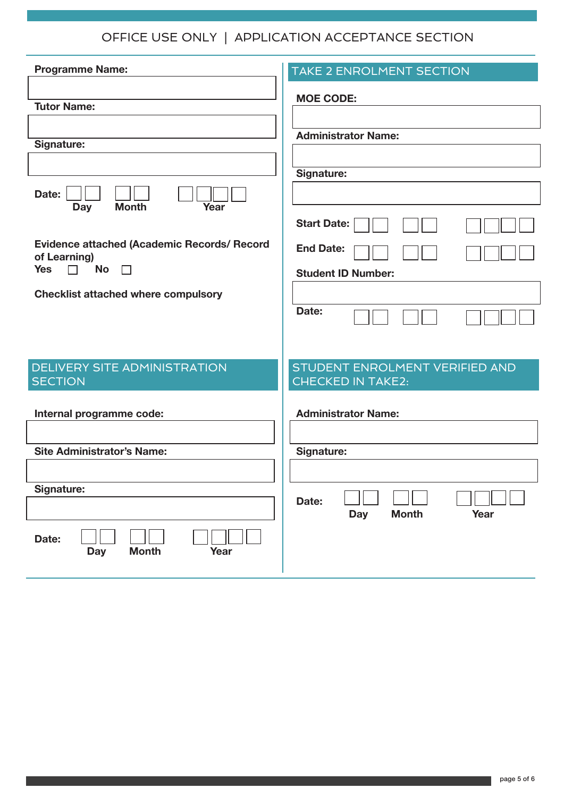OFFICE USE ONLY | APPLICATION ACCEPTANCE SECTION

| <b>Programme Name:</b>                                             | <b>TAKE 2 ENROLMENT SECTION</b>                            |
|--------------------------------------------------------------------|------------------------------------------------------------|
| <b>Tutor Name:</b>                                                 | <b>MOE CODE:</b>                                           |
| Signature:                                                         | <b>Administrator Name:</b>                                 |
|                                                                    |                                                            |
|                                                                    | Signature:                                                 |
| Date:<br><b>Month</b><br>Year<br><b>Day</b>                        |                                                            |
|                                                                    | <b>Start Date:</b>                                         |
| <b>Evidence attached (Academic Records/ Record</b><br>of Learning) | <b>End Date:</b>                                           |
| <b>No</b><br><b>Yes</b><br>$\Box$<br>$\Box$                        | <b>Student ID Number:</b>                                  |
| <b>Checklist attached where compulsory</b>                         | Date:                                                      |
|                                                                    |                                                            |
|                                                                    |                                                            |
| <b>DELIVERY SITE ADMINISTRATION</b><br><b>SECTION</b>              | STUDENT ENROLMENT VERIFIED AND<br><b>CHECKED IN TAKE2:</b> |
| Internal programme code:                                           | <b>Administrator Name:</b>                                 |
|                                                                    |                                                            |
| <b>Site Administrator's Name:</b>                                  | Signature:                                                 |
|                                                                    |                                                            |
| Signature:                                                         | Date:<br><b>Month</b><br>Year<br><b>Day</b>                |
| Date:<br>Year<br><b>Month</b><br><b>Day</b>                        |                                                            |